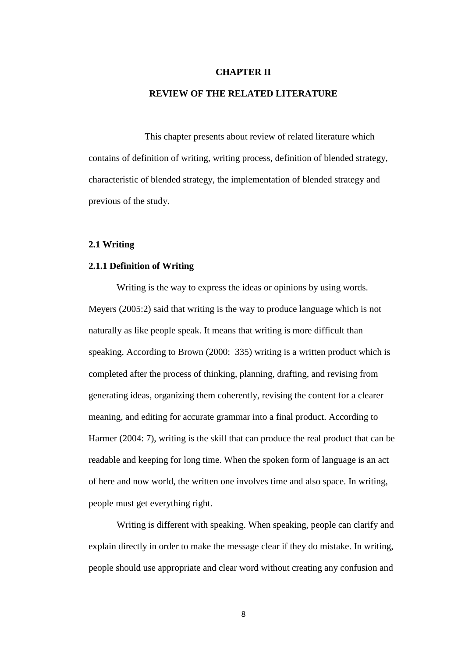#### **CHAPTER II**

## **REVIEW OF THE RELATED LITERATURE**

This chapter presents about review of related literature which contains of definition of writing, writing process, definition of blended strategy, characteristic of blended strategy, the implementation of blended strategy and previous of the study.

# **2.1 Writing**

#### **2.1.1 Definition of Writing**

Writing is the way to express the ideas or opinions by using words. Meyers (2005:2) said that writing is the way to produce language which is not naturally as like people speak. It means that writing is more difficult than speaking. According to Brown (2000: 335) writing is a written product which is completed after the process of thinking, planning, drafting, and revising from generating ideas, organizing them coherently, revising the content for a clearer meaning, and editing for accurate grammar into a final product. According to Harmer (2004: 7), writing is the skill that can produce the real product that can be readable and keeping for long time. When the spoken form of language is an act of here and now world, the written one involves time and also space. In writing, people must get everything right.

Writing is different with speaking. When speaking, people can clarify and explain directly in order to make the message clear if they do mistake. In writing, people should use appropriate and clear word without creating any confusion and

8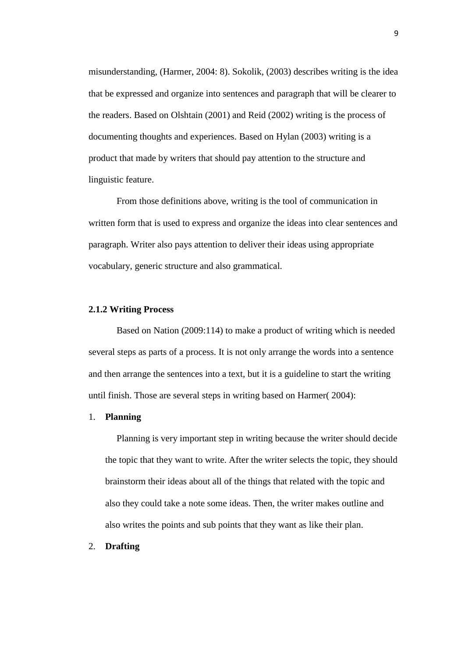misunderstanding, (Harmer, 2004: 8). Sokolik, (2003) describes writing is the idea that be expressed and organize into sentences and paragraph that will be clearer to the readers. Based on Olshtain (2001) and Reid (2002) writing is the process of documenting thoughts and experiences. Based on Hylan (2003) writing is a product that made by writers that should pay attention to the structure and linguistic feature.

From those definitions above, writing is the tool of communication in written form that is used to express and organize the ideas into clear sentences and paragraph. Writer also pays attention to deliver their ideas using appropriate vocabulary, generic structure and also grammatical.

### **2.1.2 Writing Process**

Based on Nation (2009:114) to make a product of writing which is needed several steps as parts of a process. It is not only arrange the words into a sentence and then arrange the sentences into a text, but it is a guideline to start the writing until finish. Those are several steps in writing based on Harmer( 2004):

#### 1. **Planning**

Planning is very important step in writing because the writer should decide the topic that they want to write. After the writer selects the topic, they should brainstorm their ideas about all of the things that related with the topic and also they could take a note some ideas. Then, the writer makes outline and also writes the points and sub points that they want as like their plan.

# 2. **Drafting**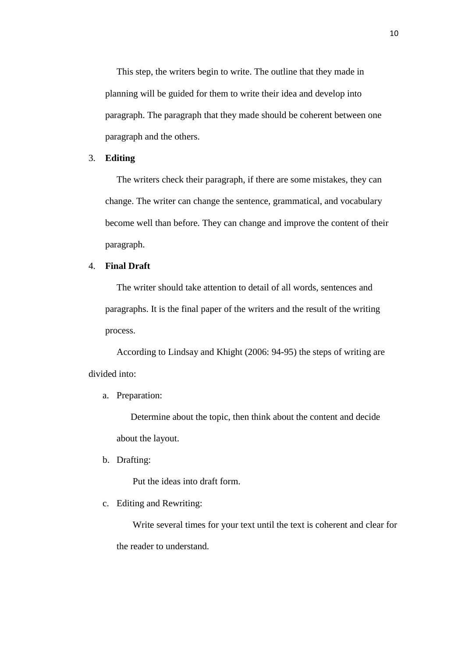This step, the writers begin to write. The outline that they made in planning will be guided for them to write their idea and develop into paragraph. The paragraph that they made should be coherent between one paragraph and the others.

### 3. **Editing**

The writers check their paragraph, if there are some mistakes, they can change. The writer can change the sentence, grammatical, and vocabulary become well than before. They can change and improve the content of their paragraph.

# 4. **Final Draft**

The writer should take attention to detail of all words, sentences and paragraphs. It is the final paper of the writers and the result of the writing process.

According to Lindsay and Khight (2006: 94-95) the steps of writing are divided into:

### a. Preparation:

Determine about the topic, then think about the content and decide about the layout.

b. Drafting:

Put the ideas into draft form.

## c. Editing and Rewriting:

Write several times for your text until the text is coherent and clear for the reader to understand.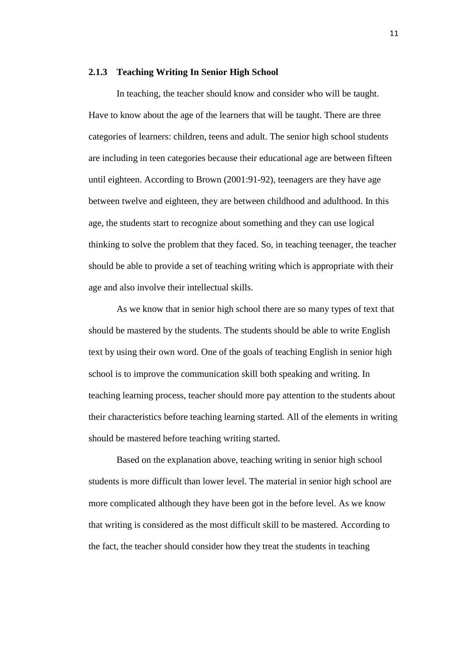#### **2.1.3 Teaching Writing In Senior High School**

In teaching, the teacher should know and consider who will be taught. Have to know about the age of the learners that will be taught. There are three categories of learners: children, teens and adult. The senior high school students are including in teen categories because their educational age are between fifteen until eighteen. According to Brown (2001:91-92), teenagers are they have age between twelve and eighteen, they are between childhood and adulthood. In this age, the students start to recognize about something and they can use logical thinking to solve the problem that they faced. So, in teaching teenager, the teacher should be able to provide a set of teaching writing which is appropriate with their age and also involve their intellectual skills.

As we know that in senior high school there are so many types of text that should be mastered by the students. The students should be able to write English text by using their own word. One of the goals of teaching English in senior high school is to improve the communication skill both speaking and writing. In teaching learning process, teacher should more pay attention to the students about their characteristics before teaching learning started. All of the elements in writing should be mastered before teaching writing started.

Based on the explanation above, teaching writing in senior high school students is more difficult than lower level. The material in senior high school are more complicated although they have been got in the before level. As we know that writing is considered as the most difficult skill to be mastered. According to the fact, the teacher should consider how they treat the students in teaching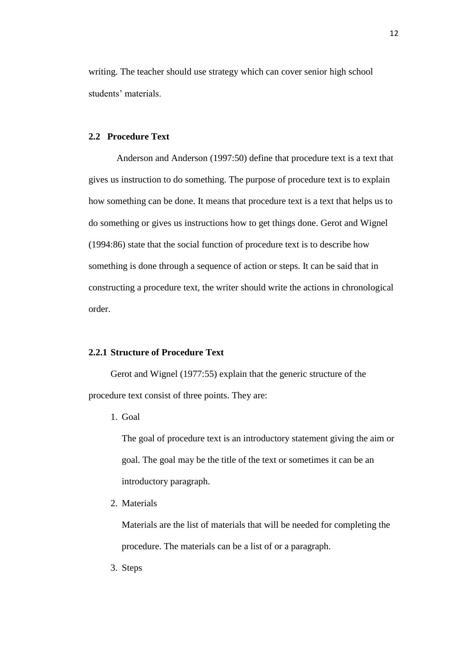writing. The teacher should use strategy which can cover senior high school students' materials.

# **2.2 Procedure Text**

Anderson and Anderson (1997:50) define that procedure text is a text that gives us instruction to do something. The purpose of procedure text is to explain how something can be done. It means that procedure text is a text that helps us to do something or gives us instructions how to get things done. Gerot and Wignel (1994:86) state that the social function of procedure text is to describe how something is done through a sequence of action or steps. It can be said that in constructing a procedure text, the writer should write the actions in chronological order.

## **2.2.1 Structure of Procedure Text**

Gerot and Wignel (1977:55) explain that the generic structure of the procedure text consist of three points. They are:

1. Goal

The goal of procedure text is an introductory statement giving the aim or goal. The goal may be the title of the text or sometimes it can be an introductory paragraph.

2. Materials

Materials are the list of materials that will be needed for completing the procedure. The materials can be a list of or a paragraph.

3. Steps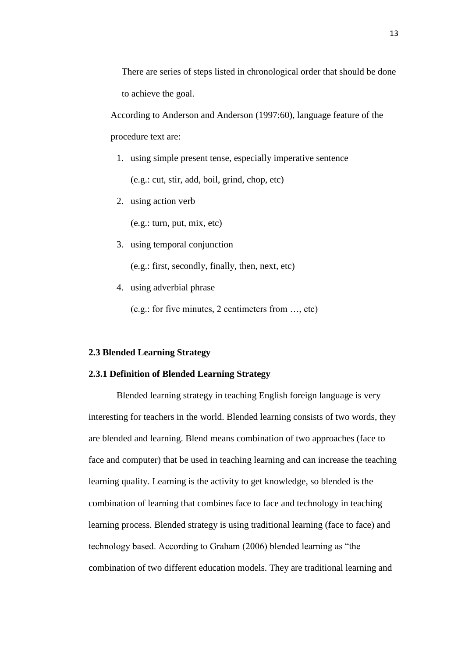There are series of steps listed in chronological order that should be done to achieve the goal.

According to Anderson and Anderson (1997:60), language feature of the procedure text are:

- 1. using simple present tense, especially imperative sentence (e.g.: cut, stir, add, boil, grind, chop, etc)
- 2. using action verb

(e.g.: turn, put, mix, etc)

3. using temporal conjunction

(e.g.: first, secondly, finally, then, next, etc)

4. using adverbial phrase

(e.g.: for five minutes, 2 centimeters from …, etc)

#### **2.3 Blended Learning Strategy**

# **2.3.1 Definition of Blended Learning Strategy**

Blended learning strategy in teaching English foreign language is very interesting for teachers in the world. Blended learning consists of two words, they are blended and learning. Blend means combination of two approaches (face to face and computer) that be used in teaching learning and can increase the teaching learning quality. Learning is the activity to get knowledge, so blended is the combination of learning that combines face to face and technology in teaching learning process. Blended strategy is using traditional learning (face to face) and technology based. According to Graham (2006) blended learning as "the combination of two different education models. They are traditional learning and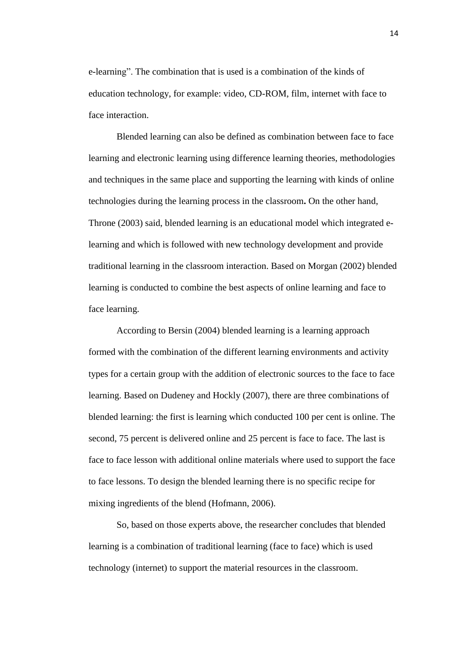e-learning". The combination that is used is a combination of the kinds of education technology, for example: video, CD-ROM, film, internet with face to face interaction.

Blended learning can also be defined as combination between face to face learning and electronic learning using difference learning theories, methodologies and techniques in the same place and supporting the learning with kinds of online technologies during the learning process in the classroom**.** On the other hand, Throne (2003) said, blended learning is an educational model which integrated elearning and which is followed with new technology development and provide traditional learning in the classroom interaction. Based on Morgan (2002) blended learning is conducted to combine the best aspects of online learning and face to face learning.

According to Bersin (2004) blended learning is a learning approach formed with the combination of the different learning environments and activity types for a certain group with the addition of electronic sources to the face to face learning. Based on Dudeney and Hockly (2007), there are three combinations of blended learning: the first is learning which conducted 100 per cent is online. The second, 75 percent is delivered online and 25 percent is face to face. The last is face to face lesson with additional online materials where used to support the face to face lessons. To design the blended learning there is no specific recipe for mixing ingredients of the blend (Hofmann, 2006).

So, based on those experts above, the researcher concludes that blended learning is a combination of traditional learning (face to face) which is used technology (internet) to support the material resources in the classroom.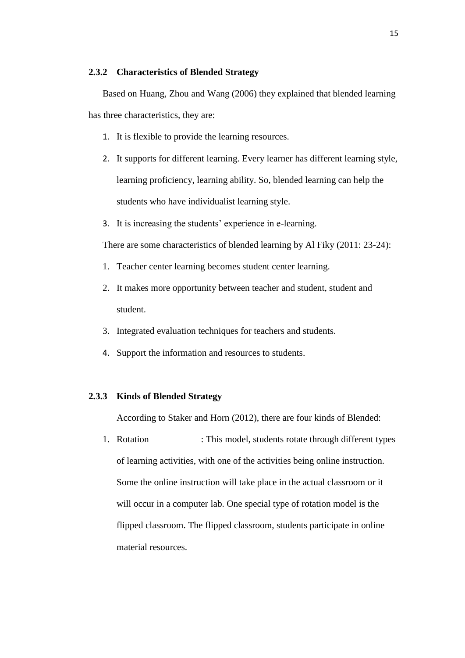## **2.3.2 Characteristics of Blended Strategy**

Based on Huang, Zhou and Wang (2006) they explained that blended learning has three characteristics, they are:

- 1. It is flexible to provide the learning resources.
- 2. It supports for different learning. Every learner has different learning style, learning proficiency, learning ability. So, blended learning can help the students who have individualist learning style.
- 3. It is increasing the students' experience in e-learning.

There are some characteristics of blended learning by Al Fiky (2011: 23-24):

- 1. Teacher center learning becomes student center learning.
- 2. It makes more opportunity between teacher and student, student and student.
- 3. Integrated evaluation techniques for teachers and students.
- 4. Support the information and resources to students.

## **2.3.3 Kinds of Blended Strategy**

According to Staker and Horn (2012), there are four kinds of Blended:

1. Rotation : This model, students rotate through different types of learning activities, with one of the activities being online instruction. Some the online instruction will take place in the actual classroom or it will occur in a computer lab. One special type of rotation model is the flipped classroom. The flipped classroom, students participate in online material resources.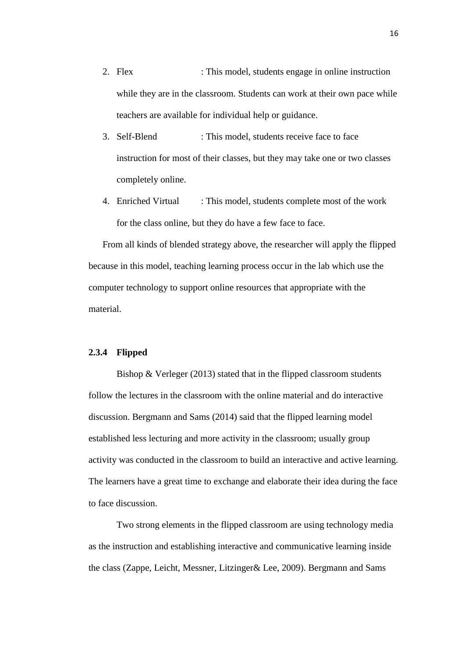- 2. Flex : This model, students engage in online instruction while they are in the classroom. Students can work at their own pace while teachers are available for individual help or guidance.
- 3. Self-Blend : This model, students receive face to face instruction for most of their classes, but they may take one or two classes completely online.
- 4. Enriched Virtual : This model, students complete most of the work for the class online, but they do have a few face to face.

From all kinds of blended strategy above, the researcher will apply the flipped because in this model, teaching learning process occur in the lab which use the computer technology to support online resources that appropriate with the material.

#### **2.3.4 Flipped**

Bishop & Verleger (2013) stated that in the flipped classroom students follow the lectures in the classroom with the online material and do interactive discussion. Bergmann and Sams (2014) said that the flipped learning model established less lecturing and more activity in the classroom; usually group activity was conducted in the classroom to build an interactive and active learning. The learners have a great time to exchange and elaborate their idea during the face to face discussion.

Two strong elements in the flipped classroom are using technology media as the instruction and establishing interactive and communicative learning inside the class (Zappe, Leicht, Messner, Litzinger& Lee, 2009). Bergmann and Sams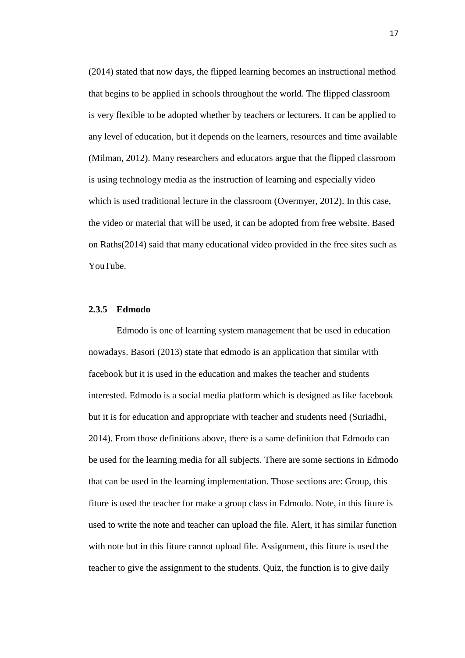(2014) stated that now days, the flipped learning becomes an instructional method that begins to be applied in schools throughout the world. The flipped classroom is very flexible to be adopted whether by teachers or lecturers. It can be applied to any level of education, but it depends on the learners, resources and time available (Milman, 2012). Many researchers and educators argue that the flipped classroom is using technology media as the instruction of learning and especially video which is used traditional lecture in the classroom (Overmyer, 2012). In this case, the video or material that will be used, it can be adopted from free website. Based on Raths(2014) said that many educational video provided in the free sites such as YouTube.

### **2.3.5 Edmodo**

Edmodo is one of learning system management that be used in education nowadays. Basori (2013) state that edmodo is an application that similar with facebook but it is used in the education and makes the teacher and students interested. Edmodo is a social media platform which is designed as like facebook but it is for education and appropriate with teacher and students need (Suriadhi, 2014). From those definitions above, there is a same definition that Edmodo can be used for the learning media for all subjects. There are some sections in Edmodo that can be used in the learning implementation. Those sections are: Group, this fiture is used the teacher for make a group class in Edmodo. Note, in this fiture is used to write the note and teacher can upload the file. Alert, it has similar function with note but in this fiture cannot upload file. Assignment, this fiture is used the teacher to give the assignment to the students. Quiz, the function is to give daily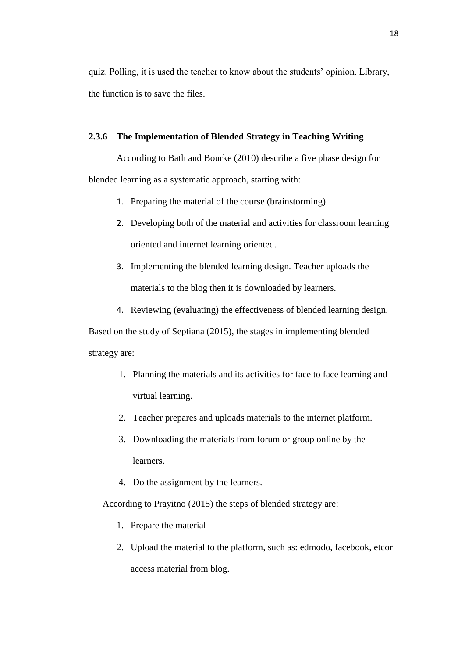quiz. Polling, it is used the teacher to know about the students' opinion. Library, the function is to save the files.

# **2.3.6 The Implementation of Blended Strategy in Teaching Writing**

According to Bath and Bourke (2010) describe a five phase design for blended learning as a systematic approach, starting with:

- 1. Preparing the material of the course (brainstorming).
- 2. Developing both of the material and activities for classroom learning oriented and internet learning oriented.
- 3. Implementing the blended learning design. Teacher uploads the materials to the blog then it is downloaded by learners.
- 4. Reviewing (evaluating) the effectiveness of blended learning design.

Based on the study of Septiana (2015), the stages in implementing blended strategy are:

- 1. Planning the materials and its activities for face to face learning and virtual learning.
- 2. Teacher prepares and uploads materials to the internet platform.
- 3. Downloading the materials from forum or group online by the learners.
- 4. Do the assignment by the learners.

According to Prayitno (2015) the steps of blended strategy are:

- 1. Prepare the material
- 2. Upload the material to the platform, such as: edmodo, facebook, etcor access material from blog.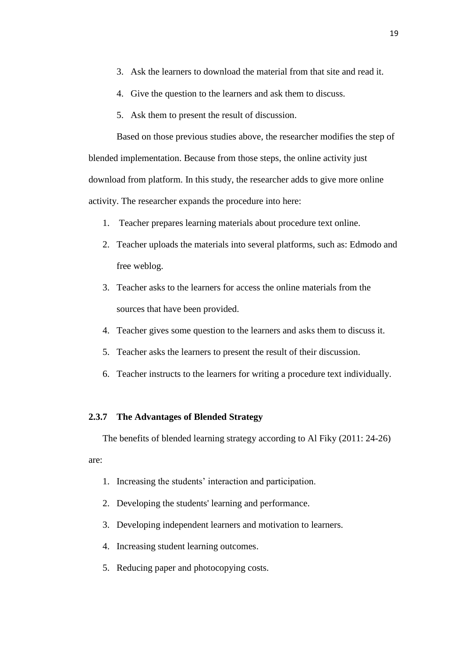- 3. Ask the learners to download the material from that site and read it.
- 4. Give the question to the learners and ask them to discuss.
- 5. Ask them to present the result of discussion.

Based on those previous studies above, the researcher modifies the step of blended implementation. Because from those steps, the online activity just download from platform. In this study, the researcher adds to give more online activity. The researcher expands the procedure into here:

- 1. Teacher prepares learning materials about procedure text online.
- 2. Teacher uploads the materials into several platforms, such as: Edmodo and free weblog.
- 3. Teacher asks to the learners for access the online materials from the sources that have been provided.
- 4. Teacher gives some question to the learners and asks them to discuss it.
- 5. Teacher asks the learners to present the result of their discussion.
- 6. Teacher instructs to the learners for writing a procedure text individually.

## **2.3.7 The Advantages of Blended Strategy**

The benefits of blended learning strategy according to Al Fiky (2011: 24-26) are:

- 1. Increasing the students' interaction and participation.
- 2. Developing the students' learning and performance.
- 3. Developing independent learners and motivation to learners.
- 4. Increasing student learning outcomes.
- 5. Reducing paper and photocopying costs.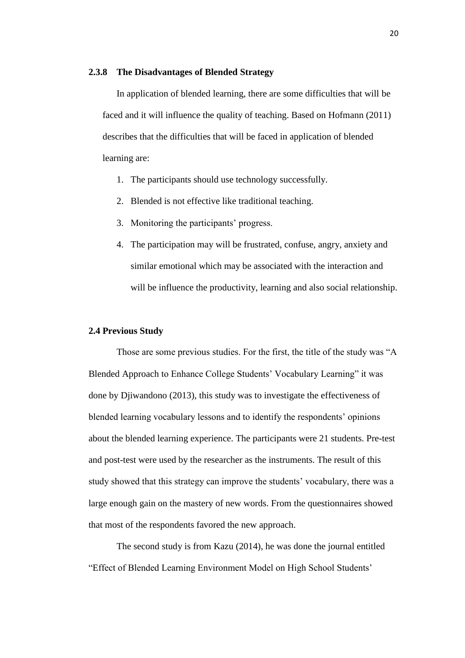### **2.3.8 The Disadvantages of Blended Strategy**

In application of blended learning, there are some difficulties that will be faced and it will influence the quality of teaching. Based on Hofmann (2011) describes that the difficulties that will be faced in application of blended learning are:

- 1. The participants should use technology successfully.
- 2. Blended is not effective like traditional teaching.
- 3. Monitoring the participants' progress.
- 4. The participation may will be frustrated, confuse, angry, anxiety and similar emotional which may be associated with the interaction and will be influence the productivity, learning and also social relationship.

## **2.4 Previous Study**

Those are some previous studies. For the first, the title of the study was "A Blended Approach to Enhance College Students' Vocabulary Learning" it was done by Djiwandono (2013), this study was to investigate the effectiveness of blended learning vocabulary lessons and to identify the respondents' opinions about the blended learning experience. The participants were 21 students. Pre-test and post-test were used by the researcher as the instruments. The result of this study showed that this strategy can improve the students' vocabulary, there was a large enough gain on the mastery of new words. From the questionnaires showed that most of the respondents favored the new approach.

The second study is from Kazu (2014), he was done the journal entitled "Effect of Blended Learning Environment Model on High School Students'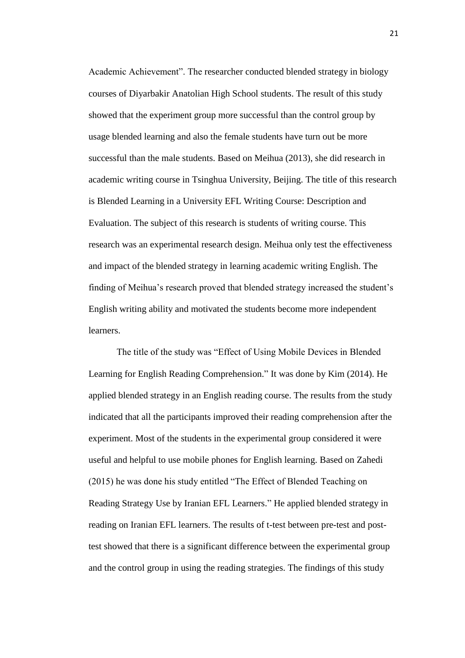Academic Achievement". The researcher conducted blended strategy in biology courses of Diyarbakir Anatolian High School students. The result of this study showed that the experiment group more successful than the control group by usage blended learning and also the female students have turn out be more successful than the male students. Based on Meihua (2013), she did research in academic writing course in Tsinghua University, Beijing. The title of this research is Blended Learning in a University EFL Writing Course: Description and Evaluation. The subject of this research is students of writing course. This research was an experimental research design. Meihua only test the effectiveness and impact of the blended strategy in learning academic writing English. The finding of Meihua's research proved that blended strategy increased the student's English writing ability and motivated the students become more independent learners.

The title of the study was "Effect of Using Mobile Devices in Blended Learning for English Reading Comprehension." It was done by Kim (2014). He applied blended strategy in an English reading course. The results from the study indicated that all the participants improved their reading comprehension after the experiment. Most of the students in the experimental group considered it were useful and helpful to use mobile phones for English learning. Based on Zahedi (2015) he was done his study entitled "The Effect of Blended Teaching on Reading Strategy Use by Iranian EFL Learners." He applied blended strategy in reading on Iranian EFL learners. The results of t-test between pre-test and posttest showed that there is a significant difference between the experimental group and the control group in using the reading strategies. The findings of this study